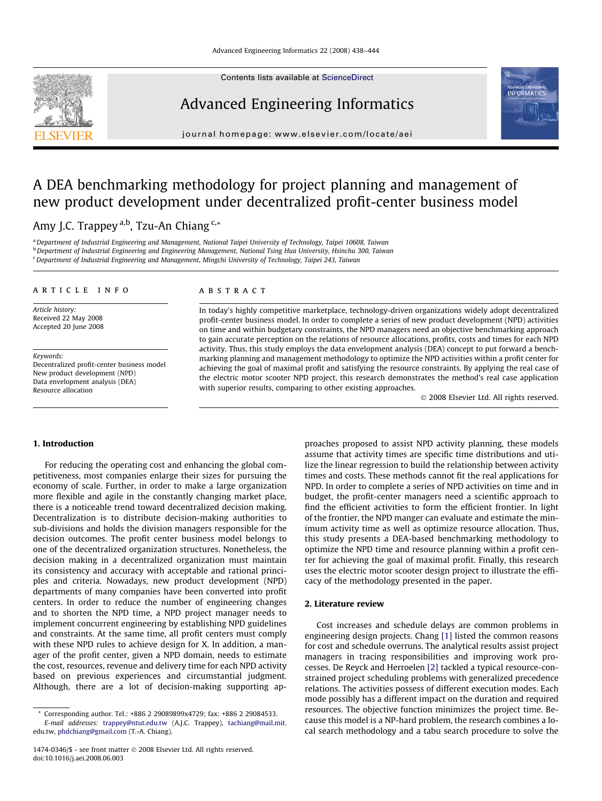Contents lists available at [ScienceDirect](http://www.sciencedirect.com/science/journal/14740346)



# Advanced Engineering Informatics



journal homepage: [www.elsevier.com/locate/aei](http://www.elsevier.com/locate/aei)

# A DEA benchmarking methodology for project planning and management of new product development under decentralized profit-center business model

Amy J.C. Trappey<sup>a,b</sup>, Tzu-An Chiang<sup>c,\*</sup>

a Department of Industrial Engineering and Management, National Taipei University of Technology, Taipei 10608, Taiwan **b** Department of Industrial Engineering and Engineering Management, National Tsing Hua University, Hsinchu 300, Taiwan <sup>c</sup> Department of Industrial Engineering and Management, Mingchi University of Technology, Taipei 243, Taiwan

#### article info

Article history: Received 22 May 2008 Accepted 20 June 2008

Keywords: Decentralized profit-center business model New product development (NPD) Data envelopment analysis (DEA) Resource allocation

### ABSTRACT

In today's highly competitive marketplace, technology-driven organizations widely adopt decentralized profit-center business model. In order to complete a series of new product development (NPD) activities on time and within budgetary constraints, the NPD managers need an objective benchmarking approach to gain accurate perception on the relations of resource allocations, profits, costs and times for each NPD activity. Thus, this study employs the data envelopment analysis (DEA) concept to put forward a benchmarking planning and management methodology to optimize the NPD activities within a profit center for achieving the goal of maximal profit and satisfying the resource constraints. By applying the real case of the electric motor scooter NPD project, this research demonstrates the method's real case application with superior results, comparing to other existing approaches.

- 2008 Elsevier Ltd. All rights reserved.

## 1. Introduction

For reducing the operating cost and enhancing the global competitiveness, most companies enlarge their sizes for pursuing the economy of scale. Further, in order to make a large organization more flexible and agile in the constantly changing market place, there is a noticeable trend toward decentralized decision making. Decentralization is to distribute decision-making authorities to sub-divisions and holds the division managers responsible for the decision outcomes. The profit center business model belongs to one of the decentralized organization structures. Nonetheless, the decision making in a decentralized organization must maintain its consistency and accuracy with acceptable and rational principles and criteria. Nowadays, new product development (NPD) departments of many companies have been converted into profit centers. In order to reduce the number of engineering changes and to shorten the NPD time, a NPD project manager needs to implement concurrent engineering by establishing NPD guidelines and constraints. At the same time, all profit centers must comply with these NPD rules to achieve design for X. In addition, a manager of the profit center, given a NPD domain, needs to estimate the cost, resources, revenue and delivery time for each NPD activity based on previous experiences and circumstantial judgment. Although, there are a lot of decision-making supporting approaches proposed to assist NPD activity planning, these models assume that activity times are specific time distributions and utilize the linear regression to build the relationship between activity times and costs. These methods cannot fit the real applications for NPD. In order to complete a series of NPD activities on time and in budget, the profit-center managers need a scientific approach to find the efficient activities to form the efficient frontier. In light of the frontier, the NPD manger can evaluate and estimate the minimum activity time as well as optimize resource allocation. Thus, this study presents a DEA-based benchmarking methodology to optimize the NPD time and resource planning within a profit center for achieving the goal of maximal profit. Finally, this research uses the electric motor scooter design project to illustrate the efficacy of the methodology presented in the paper.

#### 2. Literature review

Cost increases and schedule delays are common problems in engineering design projects. Chang [\[1\]](#page--1-0) listed the common reasons for cost and schedule overruns. The analytical results assist project managers in tracing responsibilities and improving work processes. De Reyck and Herroelen [\[2\]](#page--1-0) tackled a typical resource-constrained project scheduling problems with generalized precedence relations. The activities possess of different execution modes. Each mode possibly has a different impact on the duration and required resources. The objective function minimizes the project time. Because this model is a NP-hard problem, the research combines a local search methodology and a tabu search procedure to solve the

<sup>\*</sup> Corresponding author. Tel.: +886 2 29089899x4729; fax: +886 2 29084533. E-mail addresses: [trappey@ntut.edu.tw](mailto:trappey@ntut.edu.tw) (A.J.C. Trappey), [tachiang@mail.mit.](mailto:tachiang@mail.mit. ) edu.tw, [phdchiang@gmail.com](mailto:phdchiang@gmail.com ) (T.-A. Chiang).

<sup>1474-0346/\$ -</sup> see front matter @ 2008 Elsevier Ltd. All rights reserved. doi:10.1016/j.aei.2008.06.003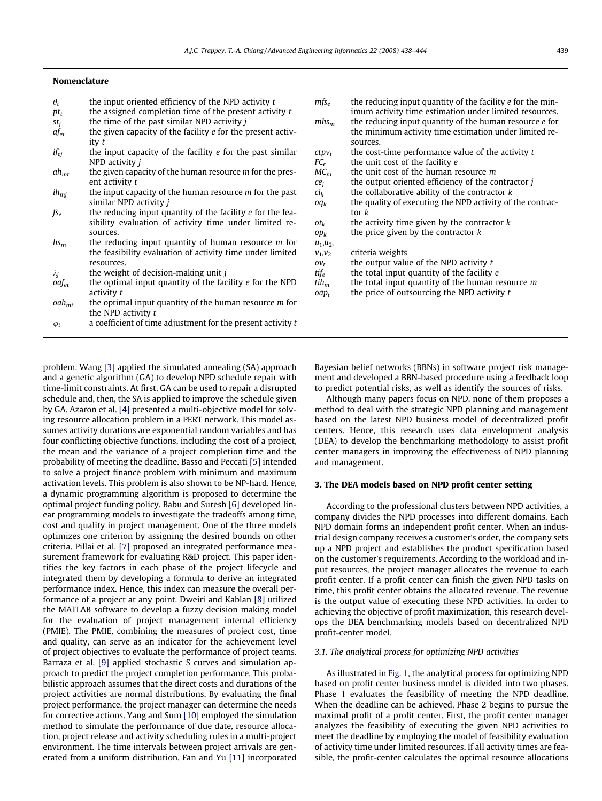#### Nomenclature

- $\theta_t$  the input oriented efficiency of the NPD activity t<br>the assigned completion time of the present activ
- the assigned completion time of the present activity  $t$
- $st_j$  the time of the past similar NPD activity *j*  $af_{et}$  the given capacity of the facility *e* for the position
- the given capacity of the facility e for the present activity t
- $if_{ej}$  the input capacity of the facility e for the past similar NPD activity j
- $ah_{\text{mt}}$  the given capacity of the human resource m for the present activity t
- $ih<sub>mi</sub>$  the input capacity of the human resource m for the past similar NPD activity j
- $f_{\text{S}_{e}}$  the reducing input quantity of the facility e for the feasibility evaluation of activity time under limited resources.
- $h_{m}$  the reducing input quantity of human resource m for the feasibility evaluation of activity time under limited resources.
- $\lambda_j$  the weight of decision-making unit *j* oaf<sub>et</sub> the optimal input quantity of the fac
- the optimal input quantity of the facility  $e$  for the NPD activity t
- $oah_{mt}$  the optimal input quantity of the human resource m for the NPD activity t
- $\varphi_t$  a coefficient of time adjustment for the present activity t

problem. Wang [\[3\]](#page--1-0) applied the simulated annealing (SA) approach and a genetic algorithm (GA) to develop NPD schedule repair with time-limit constraints. At first, GA can be used to repair a disrupted schedule and, then, the SA is applied to improve the schedule given by GA. Azaron et al. [\[4\]](#page--1-0) presented a multi-objective model for solving resource allocation problem in a PERT network. This model assumes activity durations are exponential random variables and has four conflicting objective functions, including the cost of a project, the mean and the variance of a project completion time and the probability of meeting the deadline. Basso and Peccati [\[5\]](#page--1-0) intended to solve a project finance problem with minimum and maximum activation levels. This problem is also shown to be NP-hard. Hence, a dynamic programming algorithm is proposed to determine the optimal project funding policy. Babu and Suresh [\[6\]](#page--1-0) developed linear programming models to investigate the tradeoffs among time, cost and quality in project management. One of the three models optimizes one criterion by assigning the desired bounds on other criteria. Pillai et al. [\[7\]](#page--1-0) proposed an integrated performance measurement framework for evaluating R&D project. This paper identifies the key factors in each phase of the project lifecycle and integrated them by developing a formula to derive an integrated performance index. Hence, this index can measure the overall performance of a project at any point. Dweiri and Kablan [\[8\]](#page--1-0) utilized the MATLAB software to develop a fuzzy decision making model for the evaluation of project management internal efficiency (PMIE). The PMIE, combining the measures of project cost, time and quality, can serve as an indicator for the achievement level of project objectives to evaluate the performance of project teams. Barraza et al. [\[9\]](#page--1-0) applied stochastic S curves and simulation approach to predict the project completion performance. This probabilistic approach assumes that the direct costs and durations of the project activities are normal distributions. By evaluating the final project performance, the project manager can determine the needs for corrective actions. Yang and Sum [\[10\]](#page--1-0) employed the simulation method to simulate the performance of due date, resource allocation, project release and activity scheduling rules in a multi-project environment. The time intervals between project arrivals are generated from a uniform distribution. Fan and Yu [\[11\]](#page--1-0) incorporated

| $mfs_e$                          | the reducing input quantity of the facility e for the min- |
|----------------------------------|------------------------------------------------------------|
|                                  | imum activity time estimation under limited resources.     |
| $mhs_m$                          | the reducing input quantity of the human resource e for    |
|                                  | the minimum activity time estimation under limited re-     |
|                                  | sources.                                                   |
| ctpv <sub>t</sub>                | the cost-time performance value of the activity t          |
| $FC_{\rho}$                      | the unit cost of the facility e                            |
| $MC_m$                           | the unit cost of the human resource m                      |
| ce <sub>i</sub>                  | the output oriented efficiency of the contractor j         |
| $\mathfrak{ci}_k$                | the collaborative ability of the contractor $k$            |
| $oq_k$                           | the quality of executing the NPD activity of the contrac-  |
|                                  | tor k                                                      |
| 0t <sub>k</sub>                  | the activity time given by the contractor $k$              |
| $op_k$                           | the price given by the contractor $k$                      |
| $u_1, u_2,$                      |                                                            |
| $v_1, v_2$                       | criteria weights                                           |
| $ov_t$                           | the output value of the NPD activity t                     |
| tif,                             | the total input quantity of the facility e                 |
| $\mathop{t\text{il}}\nolimits_m$ | the total input quantity of the human resource $m$         |
| $oap_t$                          | the price of outsourcing the NPD activity t                |
|                                  |                                                            |

Bayesian belief networks (BBNs) in software project risk management and developed a BBN-based procedure using a feedback loop to predict potential risks, as well as identify the sources of risks.

Although many papers focus on NPD, none of them proposes a method to deal with the strategic NPD planning and management based on the latest NPD business model of decentralized profit centers. Hence, this research uses data envelopment analysis (DEA) to develop the benchmarking methodology to assist profit center managers in improving the effectiveness of NPD planning and management.

#### 3. The DEA models based on NPD profit center setting

According to the professional clusters between NPD activities, a company divides the NPD processes into different domains. Each NPD domain forms an independent profit center. When an industrial design company receives a customer's order, the company sets up a NPD project and establishes the product specification based on the customer's requirements. According to the workload and input resources, the project manager allocates the revenue to each profit center. If a profit center can finish the given NPD tasks on time, this profit center obtains the allocated revenue. The revenue is the output value of executing these NPD activities. In order to achieving the objective of profit maximization, this research develops the DEA benchmarking models based on decentralized NPD profit-center model.

## 3.1. The analytical process for optimizing NPD activities

As illustrated in [Fig. 1,](#page--1-0) the analytical process for optimizing NPD based on profit center business model is divided into two phases. Phase 1 evaluates the feasibility of meeting the NPD deadline. When the deadline can be achieved, Phase 2 begins to pursue the maximal profit of a profit center. First, the profit center manager analyzes the feasibility of executing the given NPD activities to meet the deadline by employing the model of feasibility evaluation of activity time under limited resources. If all activity times are feasible, the profit-center calculates the optimal resource allocations